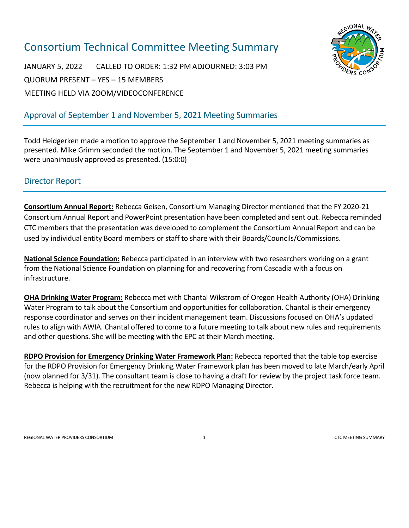# Consortium Technical Committee Meeting Summary



JANUARY 5, 2022 CALLED TO ORDER: 1:32 PM ADJOURNED: 3:03 PM QUORUM PRESENT – YES – 15 MEMBERS MEETING HELD VIA ZOOM/VIDEOCONFERENCE

## Approval of September 1 and November 5, 2021 Meeting Summaries

Todd Heidgerken made a motion to approve the September 1 and November 5, 2021 meeting summaries as presented. Mike Grimm seconded the motion. The September 1 and November 5, 2021 meeting summaries were unanimously approved as presented. (15:0:0)

#### Director Report

**Consortium Annual Report:** Rebecca Geisen, Consortium Managing Director mentioned that the FY 2020-21 Consortium Annual Report and PowerPoint presentation have been completed and sent out. Rebecca reminded CTC members that the presentation was developed to complement the Consortium Annual Report and can be used by individual entity Board members or staff to share with their Boards/Councils/Commissions.

**National Science Foundation:** Rebecca participated in an interview with two researchers working on a grant from the National Science Foundation on planning for and recovering from Cascadia with a focus on infrastructure.

**OHA Drinking Water Program:** Rebecca met with Chantal Wikstrom of Oregon Health Authority (OHA) Drinking Water Program to talk about the Consortium and opportunities for collaboration. Chantal is their emergency response coordinator and serves on their incident management team. Discussions focused on OHA's updated rules to align with AWIA. Chantal offered to come to a future meeting to talk about new rules and requirements and other questions. She will be meeting with the EPC at their March meeting.

**RDPO Provision for Emergency Drinking Water Framework Plan:** Rebecca reported that the table top exercise for the RDPO Provision for Emergency Drinking Water Framework plan has been moved to late March/early April (now planned for 3/31). The consultant team is close to having a draft for review by the project task force team. Rebecca is helping with the recruitment for the new RDPO Managing Director.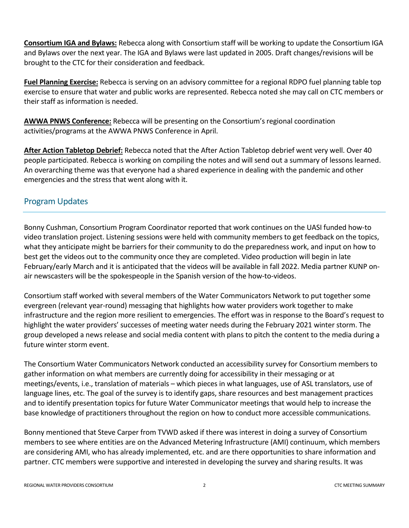**Consortium IGA and Bylaws:** Rebecca along with Consortium staff will be working to update the Consortium IGA and Bylaws over the next year. The IGA and Bylaws were last updated in 2005. Draft changes/revisions will be brought to the CTC for their consideration and feedback.

**Fuel Planning Exercise:** Rebecca is serving on an advisory committee for a regional RDPO fuel planning table top exercise to ensure that water and public works are represented. Rebecca noted she may call on CTC members or their staff as information is needed.

**AWWA PNWS Conference:** Rebecca will be presenting on the Consortium's regional coordination activities/programs at the AWWA PNWS Conference in April.

**After Action Tabletop Debrief:** Rebecca noted that the After Action Tabletop debrief went very well. Over 40 people participated. Rebecca is working on compiling the notes and will send out a summary of lessons learned. An overarching theme was that everyone had a shared experience in dealing with the pandemic and other emergencies and the stress that went along with it.

#### Program Updates

Bonny Cushman, Consortium Program Coordinator reported that work continues on the UASI funded how-to video translation project. Listening sessions were held with community members to get feedback on the topics, what they anticipate might be barriers for their community to do the preparedness work, and input on how to best get the videos out to the community once they are completed. Video production will begin in late February/early March and it is anticipated that the videos will be available in fall 2022. Media partner KUNP onair newscasters will be the spokespeople in the Spanish version of the how-to-videos.

Consortium staff worked with several members of the Water Communicators Network to put together some evergreen (relevant year-round) messaging that highlights how water providers work together to make infrastructure and the region more resilient to emergencies. The effort was in response to the Board's request to highlight the water providers' successes of meeting water needs during the February 2021 winter storm. The group developed a news release and social media content with plans to pitch the content to the media during a future winter storm event.

The Consortium Water Communicators Network conducted an accessibility survey for Consortium members to gather information on what members are currently doing for accessibility in their messaging or at meetings/events, i.e., translation of materials – which pieces in what languages, use of ASL translators, use of language lines, etc. The goal of the survey is to identify gaps, share resources and best management practices and to identify presentation topics for future Water Communicator meetings that would help to increase the base knowledge of practitioners throughout the region on how to conduct more accessible communications.

Bonny mentioned that Steve Carper from TVWD asked if there was interest in doing a survey of Consortium members to see where entities are on the Advanced Metering Infrastructure (AMI) continuum, which members are considering AMI, who has already implemented, etc. and are there opportunities to share information and partner. CTC members were supportive and interested in developing the survey and sharing results. It was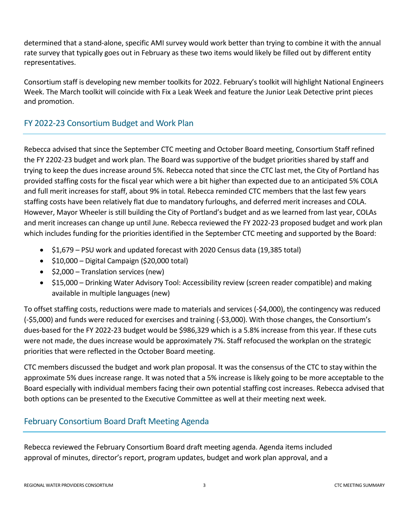determined that a stand-alone, specific AMI survey would work better than trying to combine it with the annual rate survey that typically goes out in February as these two items would likely be filled out by different entity representatives.

Consortium staff is developing new member toolkits for 2022. February's toolkit will highlight National Engineers Week. The March toolkit will coincide with Fix a Leak Week and feature the Junior Leak Detective print pieces and promotion.

#### FY 2022-23 Consortium Budget and Work Plan

Rebecca advised that since the September CTC meeting and October Board meeting, Consortium Staff refined the FY 2202-23 budget and work plan. The Board was supportive of the budget priorities shared by staff and trying to keep the dues increase around 5%. Rebecca noted that since the CTC last met, the City of Portland has provided staffing costs for the fiscal year which were a bit higher than expected due to an anticipated 5% COLA and full merit increases for staff, about 9% in total. Rebecca reminded CTC members that the last few years staffing costs have been relatively flat due to mandatory furloughs, and deferred merit increases and COLA. However, Mayor Wheeler is still building the City of Portland's budget and as we learned from last year, COLAs and merit increases can change up until June. Rebecca reviewed the FY 2022-23 proposed budget and work plan which includes funding for the priorities identified in the September CTC meeting and supported by the Board:

- \$1,679 PSU work and updated forecast with 2020 Census data (19,385 total)
- \$10,000 Digital Campaign (\$20,000 total)
- \$2,000 Translation services (new)
- \$15,000 Drinking Water Advisory Tool: Accessibility review (screen reader compatible) and making available in multiple languages (new)

To offset staffing costs, reductions were made to materials and services (-\$4,000), the contingency was reduced (-\$5,000) and funds were reduced for exercises and training (-\$3,000). With those changes, the Consortium's dues-based for the FY 2022-23 budget would be \$986,329 which is a 5.8% increase from this year. If these cuts were not made, the dues increase would be approximately 7%. Staff refocused the workplan on the strategic priorities that were reflected in the October Board meeting.

CTC members discussed the budget and work plan proposal. It was the consensus of the CTC to stay within the approximate 5% dues increase range. It was noted that a 5% increase is likely going to be more acceptable to the Board especially with individual members facing their own potential staffing cost increases. Rebecca advised that both options can be presented to the Executive Committee as well at their meeting next week.

#### February Consortium Board Draft Meeting Agenda

Rebecca reviewed the February Consortium Board draft meeting agenda. Agenda items included approval of minutes, director's report, program updates, budget and work plan approval, and a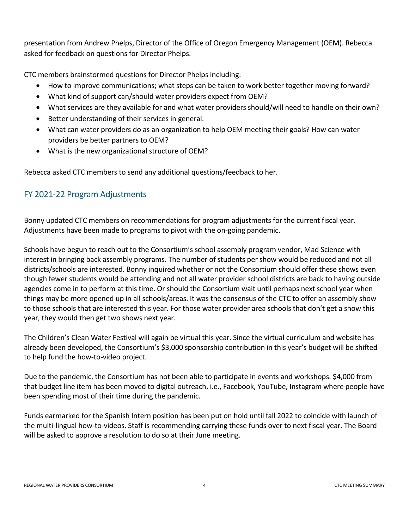presentation from Andrew Phelps, Director of the Office of Oregon Emergency Management (OEM). Rebecca asked for feedback on questions for Director Phelps.

CTC members brainstormed questions for Director Phelps including:

- How to improve communications; what steps can be taken to work better together moving forward?
- What kind of support can/should water providers expect from OEM?
- What services are they available for and what water providers should/will need to handle on their own?
- Better understanding of their services in general.
- What can water providers do as an organization to help OEM meeting their goals? How can water providers be better partners to OEM?
- What is the new organizational structure of OEM?

Rebecca asked CTC members to send any additional questions/feedback to her.

### FY 2021-22 Program Adjustments

Bonny updated CTC members on recommendations for program adjustments for the current fiscal year. Adjustments have been made to programs to pivot with the on-going pandemic.

Schools have begun to reach out to the Consortium's school assembly program vendor, Mad Science with interest in bringing back assembly programs. The number of students per show would be reduced and not all districts/schools are interested. Bonny inquired whether or not the Consortium should offer these shows even though fewer students would be attending and not all water provider school districts are back to having outside agencies come in to perform at this time. Or should the Consortium wait until perhaps next school year when things may be more opened up in all schools/areas. It was the consensus of the CTC to offer an assembly show to those schools that are interested this year. For those water provider area schools that don't get a show this year, they would then get two shows next year.

The Children's Clean Water Festival will again be virtual this year. Since the virtual curriculum and website has already been developed, the Consortium's \$3,000 sponsorship contribution in this year's budget will be shifted to help fund the how-to-video project.

Due to the pandemic, the Consortium has not been able to participate in events and workshops. \$4,000 from that budget line item has been moved to digital outreach, i.e., Facebook, YouTube, Instagram where people have been spending most of their time during the pandemic.

Funds earmarked for the Spanish Intern position has been put on hold until fall 2022 to coincide with launch of the multi-lingual how-to-videos. Staff is recommending carrying these funds over to next fiscal year. The Board will be asked to approve a resolution to do so at their June meeting.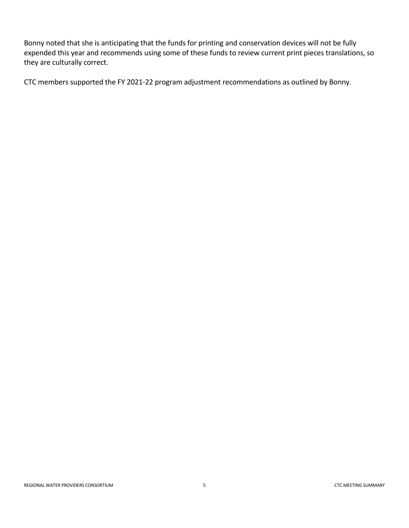Bonny noted that she is anticipating that the funds for printing and conservation devices will not be fully expended this year and recommends using some of these funds to review current print pieces translations, so they are culturally correct.

CTC members supported the FY 2021-22 program adjustment recommendations as outlined by Bonny.